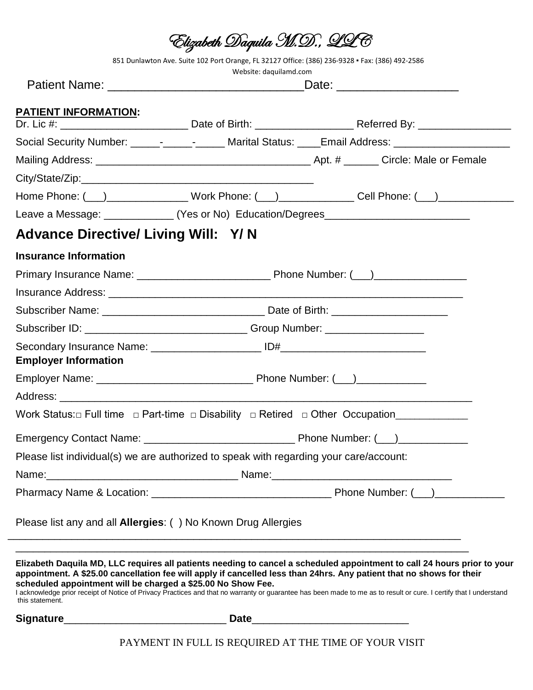|                                                                                        | Elizabeth Daquila M.D., LLC                                                                     |                                                                                                                                                                                                                                                                                                                                                                                                                        |  |  |  |
|----------------------------------------------------------------------------------------|-------------------------------------------------------------------------------------------------|------------------------------------------------------------------------------------------------------------------------------------------------------------------------------------------------------------------------------------------------------------------------------------------------------------------------------------------------------------------------------------------------------------------------|--|--|--|
|                                                                                        | 851 Dunlawton Ave. Suite 102 Port Orange, FL 32127 Office: (386) 236-9328 · Fax: (386) 492-2586 |                                                                                                                                                                                                                                                                                                                                                                                                                        |  |  |  |
|                                                                                        | Website: daquilamd.com                                                                          |                                                                                                                                                                                                                                                                                                                                                                                                                        |  |  |  |
|                                                                                        |                                                                                                 |                                                                                                                                                                                                                                                                                                                                                                                                                        |  |  |  |
| PATIENT INFORMATION:                                                                   |                                                                                                 |                                                                                                                                                                                                                                                                                                                                                                                                                        |  |  |  |
|                                                                                        |                                                                                                 | Social Security Number: ______-_____________ Marital Status: ____Email Address: ___________________                                                                                                                                                                                                                                                                                                                    |  |  |  |
|                                                                                        |                                                                                                 |                                                                                                                                                                                                                                                                                                                                                                                                                        |  |  |  |
|                                                                                        |                                                                                                 |                                                                                                                                                                                                                                                                                                                                                                                                                        |  |  |  |
|                                                                                        |                                                                                                 | Home Phone: ( <u>___)_______________________</u> Work Phone: ( ___)_________________Cell Phone: ( ___)_____________                                                                                                                                                                                                                                                                                                    |  |  |  |
|                                                                                        |                                                                                                 | Leave a Message: ______________(Yes or No) Education/Degrees____________________                                                                                                                                                                                                                                                                                                                                       |  |  |  |
| <b>Advance Directive/ Living Will: Y/N</b>                                             |                                                                                                 |                                                                                                                                                                                                                                                                                                                                                                                                                        |  |  |  |
| <b>Insurance Information</b>                                                           |                                                                                                 |                                                                                                                                                                                                                                                                                                                                                                                                                        |  |  |  |
|                                                                                        |                                                                                                 |                                                                                                                                                                                                                                                                                                                                                                                                                        |  |  |  |
|                                                                                        |                                                                                                 |                                                                                                                                                                                                                                                                                                                                                                                                                        |  |  |  |
|                                                                                        |                                                                                                 |                                                                                                                                                                                                                                                                                                                                                                                                                        |  |  |  |
| Subscriber ID: ________________________________Group Number: ___________________       |                                                                                                 |                                                                                                                                                                                                                                                                                                                                                                                                                        |  |  |  |
|                                                                                        |                                                                                                 |                                                                                                                                                                                                                                                                                                                                                                                                                        |  |  |  |
| <b>Employer Information</b>                                                            |                                                                                                 |                                                                                                                                                                                                                                                                                                                                                                                                                        |  |  |  |
|                                                                                        |                                                                                                 |                                                                                                                                                                                                                                                                                                                                                                                                                        |  |  |  |
|                                                                                        |                                                                                                 |                                                                                                                                                                                                                                                                                                                                                                                                                        |  |  |  |
|                                                                                        |                                                                                                 |                                                                                                                                                                                                                                                                                                                                                                                                                        |  |  |  |
|                                                                                        |                                                                                                 |                                                                                                                                                                                                                                                                                                                                                                                                                        |  |  |  |
| Please list individual(s) we are authorized to speak with regarding your care/account: |                                                                                                 |                                                                                                                                                                                                                                                                                                                                                                                                                        |  |  |  |
|                                                                                        |                                                                                                 |                                                                                                                                                                                                                                                                                                                                                                                                                        |  |  |  |
|                                                                                        |                                                                                                 |                                                                                                                                                                                                                                                                                                                                                                                                                        |  |  |  |
| Please list any and all <b>Allergies</b> : () No Known Drug Allergies                  |                                                                                                 |                                                                                                                                                                                                                                                                                                                                                                                                                        |  |  |  |
| scheduled appointment will be charged a \$25.00 No Show Fee.<br>this statement.        |                                                                                                 | Elizabeth Daquila MD, LLC requires all patients needing to cancel a scheduled appointment to call 24 hours prior to your<br>appointment. A \$25.00 cancellation fee will apply if cancelled less than 24hrs. Any patient that no shows for their<br>I acknowledge prior receipt of Notice of Privacy Practices and that no warranty or guarantee has been made to me as to result or cure. I certify that I understand |  |  |  |
|                                                                                        |                                                                                                 |                                                                                                                                                                                                                                                                                                                                                                                                                        |  |  |  |

PAYMENT IN FULL IS REQUIRED AT THE TIME OF YOUR VISIT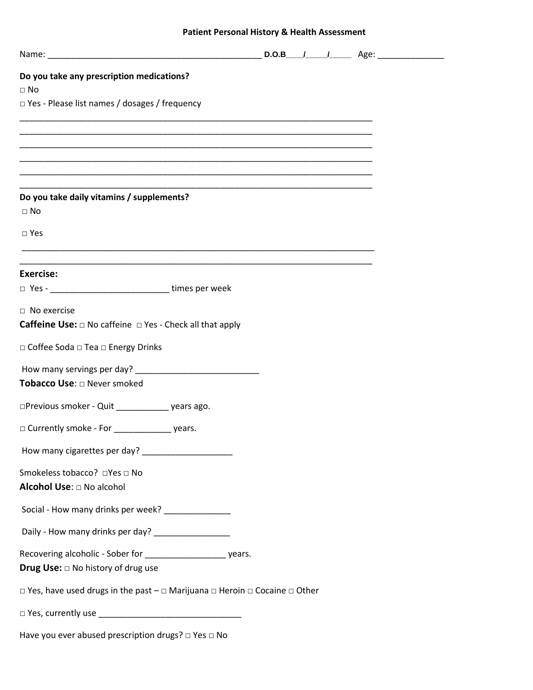# **Patient Personal History & Health Assessment**

| Do you take any prescription medications?<br>$\Box$ No                                                                |  |  |  |
|-----------------------------------------------------------------------------------------------------------------------|--|--|--|
| $\Box$ Yes - Please list names / dosages / frequency                                                                  |  |  |  |
|                                                                                                                       |  |  |  |
| <u> 1980 - Johann Stoff, deutscher Stoff, der Stoff, der Stoff, der Stoff, der Stoff, der Stoff, der Stoff, der S</u> |  |  |  |
|                                                                                                                       |  |  |  |
| Do you take daily vitamins / supplements?                                                                             |  |  |  |
| $\Box$ No                                                                                                             |  |  |  |
| $\square$ Yes                                                                                                         |  |  |  |
| <u> 1989 - Johann Stoff, amerikansk politiker (d. 1989)</u>                                                           |  |  |  |
| <b>Exercise:</b>                                                                                                      |  |  |  |
| □ Yes - __________________________________ times per week                                                             |  |  |  |
| $\Box$ No exercise                                                                                                    |  |  |  |
| <b>Caffeine Use:</b> $\Box$ No caffeine $\Box$ Yes - Check all that apply                                             |  |  |  |
| □ Coffee Soda □ Tea □ Energy Drinks                                                                                   |  |  |  |
|                                                                                                                       |  |  |  |
| Tobacco Use: $\square$ Never smoked                                                                                   |  |  |  |
| □Previous smoker - Quit ______________ years ago.                                                                     |  |  |  |
|                                                                                                                       |  |  |  |
|                                                                                                                       |  |  |  |
| Smokeless tobacco? □Yes □ No                                                                                          |  |  |  |
| Alcohol Use: $\Box$ No alcohol                                                                                        |  |  |  |
| Social - How many drinks per week? ________________                                                                   |  |  |  |
| Daily - How many drinks per day? _________________                                                                    |  |  |  |
| Recovering alcoholic - Sober for _______________________ years.                                                       |  |  |  |
| <b>Drug Use:</b> $\Box$ No history of drug use                                                                        |  |  |  |
| $\Box$ Yes, have used drugs in the past $-\Box$ Marijuana $\Box$ Heroin $\Box$ Cocaine $\Box$ Other                   |  |  |  |
|                                                                                                                       |  |  |  |
|                                                                                                                       |  |  |  |

Have you ever abused prescription drugs? □ Yes □ No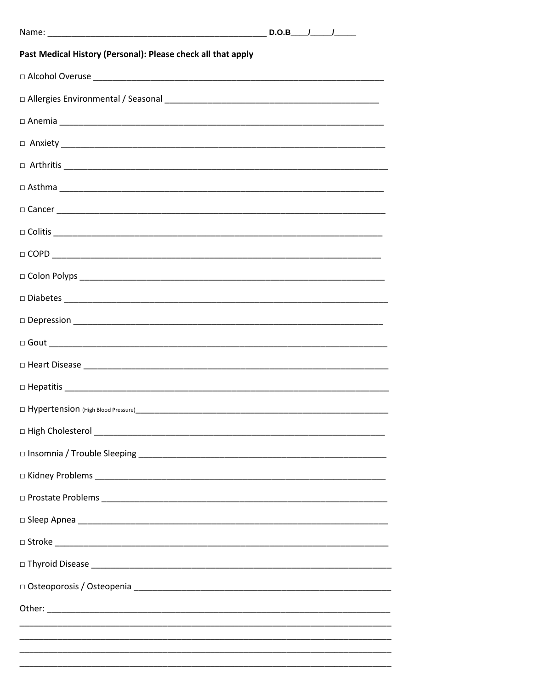| Past Medical History (Personal): Please check all that apply                                                                                                                                                                                                                                                                                                                          |  |  |  |  |
|---------------------------------------------------------------------------------------------------------------------------------------------------------------------------------------------------------------------------------------------------------------------------------------------------------------------------------------------------------------------------------------|--|--|--|--|
|                                                                                                                                                                                                                                                                                                                                                                                       |  |  |  |  |
|                                                                                                                                                                                                                                                                                                                                                                                       |  |  |  |  |
|                                                                                                                                                                                                                                                                                                                                                                                       |  |  |  |  |
|                                                                                                                                                                                                                                                                                                                                                                                       |  |  |  |  |
| $\Box \text{ Arthritis } \begin{tabular}{ c c c c } \hline \rule{0.3cm}{.2cm} \rule{0.3cm}{.2cm} \rule{0.3cm}{.2cm} \rule{0.3cm}{.2cm} \rule{0.3cm}{.2cm} \rule{0.3cm}{.2cm} \rule{0.3cm}{.2cm} \rule{0.3cm}{.2cm} \rule{0.3cm}{.2cm} \rule{0.3cm}{.2cm} \rule{0.3cm}{.2cm} \rule{0.3cm}{.2cm} \rule{0.3cm}{.2cm} \rule{0.3cm}{.2cm} \rule{0.3cm}{.2cm} \rule{0.3cm}{.2cm$            |  |  |  |  |
|                                                                                                                                                                                                                                                                                                                                                                                       |  |  |  |  |
|                                                                                                                                                                                                                                                                                                                                                                                       |  |  |  |  |
|                                                                                                                                                                                                                                                                                                                                                                                       |  |  |  |  |
| $\hfill\square \text{ COPD} \begin{picture}(10,10) \put(0,0){\dashbox{0.5}(10,0){ }} \put(0,0){\dashbox{0.5}(10,0){ }} \put(0,0){\dashbox{0.5}(10,0){ }} \put(0,0){\dashbox{0.5}(10,0){ }} \put(0,0){\dashbox{0.5}(10,0){ }} \put(0,0){\dashbox{0.5}(10,0){ }} \put(0,0){\dashbox{0.5}(10,0){ }} \put(0,0){\dashbox{0.5}(10,0){ }} \put(0,0){\dashbox{0.5}(10,0){ }} \put(0,0){\dash$ |  |  |  |  |
|                                                                                                                                                                                                                                                                                                                                                                                       |  |  |  |  |
|                                                                                                                                                                                                                                                                                                                                                                                       |  |  |  |  |
|                                                                                                                                                                                                                                                                                                                                                                                       |  |  |  |  |
|                                                                                                                                                                                                                                                                                                                                                                                       |  |  |  |  |
|                                                                                                                                                                                                                                                                                                                                                                                       |  |  |  |  |
|                                                                                                                                                                                                                                                                                                                                                                                       |  |  |  |  |
|                                                                                                                                                                                                                                                                                                                                                                                       |  |  |  |  |
|                                                                                                                                                                                                                                                                                                                                                                                       |  |  |  |  |
|                                                                                                                                                                                                                                                                                                                                                                                       |  |  |  |  |
|                                                                                                                                                                                                                                                                                                                                                                                       |  |  |  |  |
|                                                                                                                                                                                                                                                                                                                                                                                       |  |  |  |  |
|                                                                                                                                                                                                                                                                                                                                                                                       |  |  |  |  |
|                                                                                                                                                                                                                                                                                                                                                                                       |  |  |  |  |
|                                                                                                                                                                                                                                                                                                                                                                                       |  |  |  |  |
|                                                                                                                                                                                                                                                                                                                                                                                       |  |  |  |  |
|                                                                                                                                                                                                                                                                                                                                                                                       |  |  |  |  |
|                                                                                                                                                                                                                                                                                                                                                                                       |  |  |  |  |
|                                                                                                                                                                                                                                                                                                                                                                                       |  |  |  |  |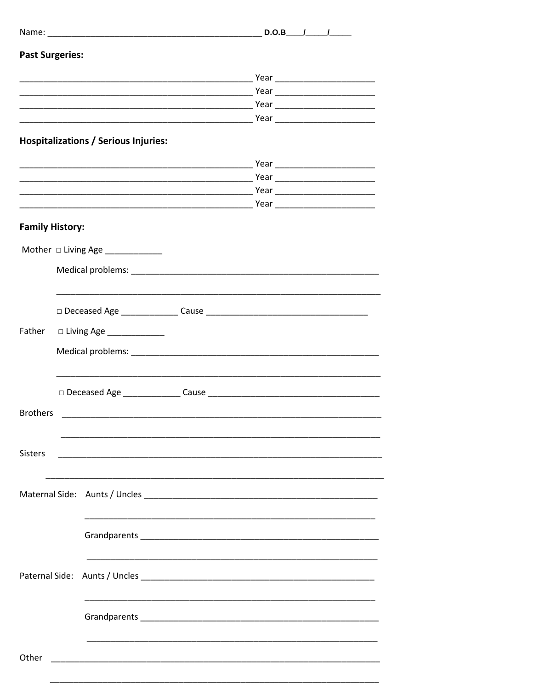| <b>Past Surgeries:</b> |                                             |  |  |
|------------------------|---------------------------------------------|--|--|
|                        |                                             |  |  |
|                        |                                             |  |  |
|                        |                                             |  |  |
|                        |                                             |  |  |
|                        | <b>Hospitalizations / Serious Injuries:</b> |  |  |
|                        |                                             |  |  |
|                        |                                             |  |  |
|                        |                                             |  |  |
|                        |                                             |  |  |
| <b>Family History:</b> |                                             |  |  |
|                        | Mother $\Box$ Living Age ___________        |  |  |
|                        |                                             |  |  |
|                        |                                             |  |  |
|                        |                                             |  |  |
|                        |                                             |  |  |
|                        |                                             |  |  |
|                        |                                             |  |  |
|                        |                                             |  |  |
| <b>Brothers</b>        |                                             |  |  |
|                        |                                             |  |  |
|                        |                                             |  |  |
| Sisters                |                                             |  |  |
|                        |                                             |  |  |
|                        |                                             |  |  |
|                        |                                             |  |  |
|                        |                                             |  |  |
|                        |                                             |  |  |
|                        |                                             |  |  |
|                        |                                             |  |  |
|                        |                                             |  |  |
|                        |                                             |  |  |
| Other                  |                                             |  |  |
|                        |                                             |  |  |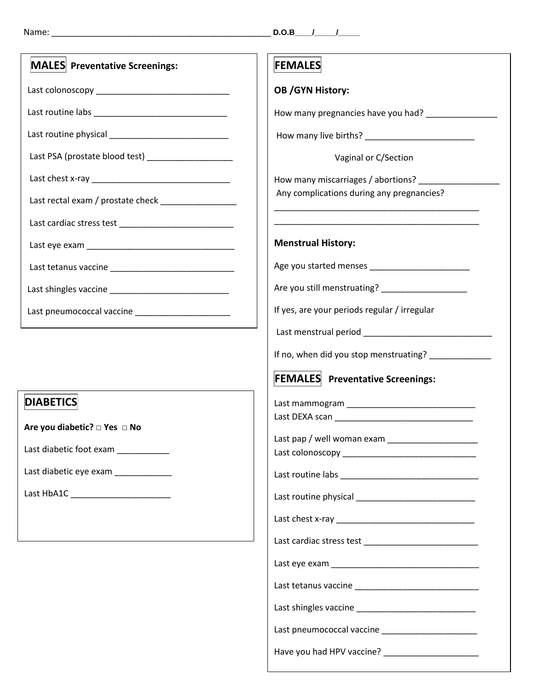| MALES Preventative Screenings:                        | <b>FEMALES</b>                                        |
|-------------------------------------------------------|-------------------------------------------------------|
|                                                       | <b>OB /GYN History:</b>                               |
|                                                       | How many pregnancies have you had? __________________ |
|                                                       |                                                       |
| Last PSA (prostate blood test) ______________________ | Vaginal or C/Section                                  |
|                                                       | How many miscarriages / abortions?                    |
| Last rectal exam / prostate check __________________  | Any complications during any pregnancies?             |
|                                                       |                                                       |
|                                                       | <b>Menstrual History:</b>                             |
| Last tetanus vaccine<br>Last tetanus vaccine          |                                                       |
|                                                       |                                                       |
|                                                       | If yes, are your periods regular / irregular          |
|                                                       |                                                       |
|                                                       | If no, when did you stop menstruating? ______________ |
|                                                       | <b>FEMALES</b> Preventative Screenings:               |
| <b>DIABETICS</b>                                      |                                                       |
| Are you diabetic? □ Yes □ No                          |                                                       |
| Last diabetic foot exam ___________                   | Last pap / well woman exam                            |
|                                                       |                                                       |
| Last diabetic eye exam ____________                   |                                                       |
|                                                       |                                                       |
|                                                       |                                                       |
|                                                       |                                                       |
|                                                       |                                                       |
|                                                       |                                                       |
|                                                       |                                                       |
|                                                       |                                                       |
|                                                       |                                                       |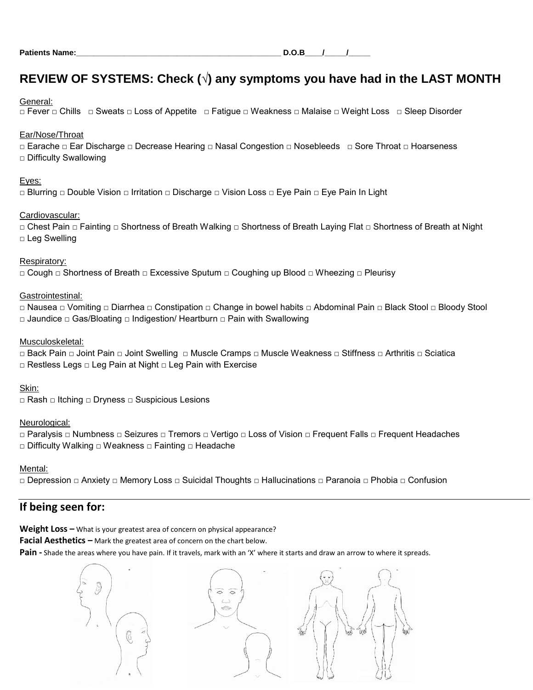# **REVIEW OF SYSTEMS: Check (**√**) any symptoms you have had in the LAST MONTH**

### General:

□ Fever □ Chills □ Sweats □ Loss of Appetite □ Fatigue □ Weakness □ Malaise □ Weight Loss □ Sleep Disorder

# Ear/Nose/Throat

□ Earache □ Ear Discharge □ Decrease Hearing □ Nasal Congestion □ Nosebleeds □ Sore Throat □ Hoarseness □ Difficulty Swallowing

# Eyes:

□ Blurring □ Double Vision □ Irritation □ Discharge □ Vision Loss □ Eye Pain □ Eye Pain In Light

# Cardiovascular:

□ Chest Pain □ Fainting □ Shortness of Breath Walking □ Shortness of Breath Laying Flat □ Shortness of Breath at Night □ Leg Swelling

# Respiratory:

□ Cough □ Shortness of Breath □ Excessive Sputum □ Coughing up Blood □ Wheezing □ Pleurisy

# Gastrointestinal:

□ Nausea □ Vomiting □ Diarrhea □ Constipation □ Change in bowel habits □ Abdominal Pain □ Black Stool □ Bloody Stool □ Jaundice □ Gas/Bloating □ Indigestion/ Heartburn □ Pain with Swallowing

# Musculoskeletal:

□ Back Pain □ Joint Pain □ Joint Swelling □ Muscle Cramps □ Muscle Weakness □ Stiffness □ Arthritis □ Sciatica □ Restless Legs □ Leg Pain at Night □ Leg Pain with Exercise

# Skin:

□ Rash □ Itching □ Dryness □ Suspicious Lesions

# Neurological:

□ Paralysis □ Numbness □ Seizures □ Tremors □ Vertigo □ Loss of Vision □ Frequent Falls □ Frequent Headaches □ Difficulty Walking □ Weakness □ Fainting □ Headache

# Mental:

□ Depression □ Anxiety □ Memory Loss □ Suicidal Thoughts □ Hallucinations □ Paranoia □ Phobia □ Confusion

# **If being seen for:**

**Weight Loss –** What is your greatest area of concern on physical appearance?

**Facial Aesthetics –** Mark the greatest area of concern on the chart below.

Pain - Shade the areas where you have pain. If it travels, mark with an 'X' where it starts and draw an arrow to where it spreads.

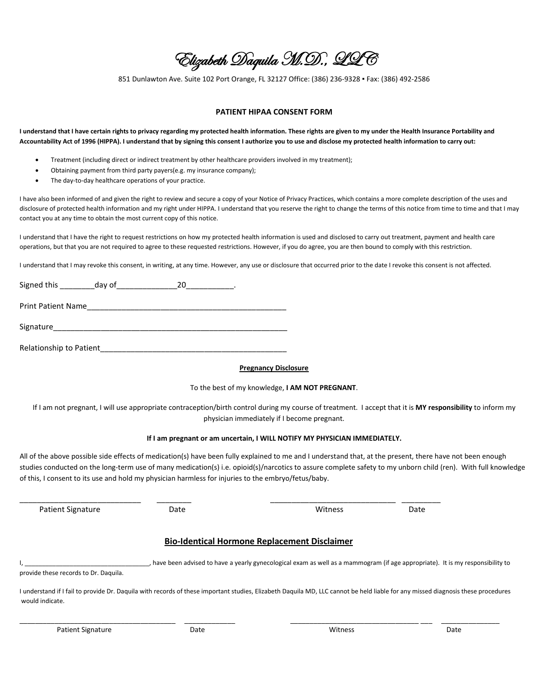Elizabeth Daquila M.D., LLC

851 Dunlawton Ave. Suite 102 Port Orange, FL 32127 Office: (386) 236-9328 ▪ Fax: (386) 492-2586

### **PATIENT HIPAA CONSENT FORM**

**I understand that I have certain rights to privacy regarding my protected health information. These rights are given to my under the Health Insurance Portability and Accountability Act of 1996 (HIPPA). I understand that by signing this consent I authorize you to use and disclose my protected health information to carry out:**

- Treatment (including direct or indirect treatment by other healthcare providers involved in my treatment);
- Obtaining payment from third party payers(e.g. my insurance company);
- The day-to-day healthcare operations of your practice.

I have also been informed of and given the right to review and secure a copy of your Notice of Privacy Practices, which contains a more complete description of the uses and disclosure of protected health information and my right under HIPPA. I understand that you reserve the right to change the terms of this notice from time to time and that I may contact you at any time to obtain the most current copy of this notice.

I understand that I have the right to request restrictions on how my protected health information is used and disclosed to carry out treatment, payment and health care operations, but that you are not required to agree to these requested restrictions. However, if you do agree, you are then bound to comply with this restriction.

I understand that I may revoke this consent, in writing, at any time. However, any use or disclosure that occurred prior to the date I revoke this consent is not affected.

| Signed this               | day of |  |
|---------------------------|--------|--|
| <b>Print Patient Name</b> |        |  |
| Signature                 |        |  |

Relationship to Patient\_\_\_\_\_\_\_\_\_\_\_\_\_\_\_\_\_\_\_\_\_\_\_\_\_\_\_\_\_\_\_\_\_\_\_\_\_\_\_\_\_\_\_

#### **Pregnancy Disclosure**

#### To the best of my knowledge, **I AM NOT PREGNANT**.

If I am not pregnant, I will use appropriate contraception/birth control during my course of treatment. I accept that it is **MY responsibility** to inform my physician immediately if I become pregnant.

#### **If I am pregnant or am uncertain, I WILL NOTIFY MY PHYSICIAN IMMEDIATELY.**

All of the above possible side effects of medication(s) have been fully explained to me and I understand that, at the present, there have not been enough studies conducted on the long-term use of many medication(s) i.e. opioid(s)/narcotics to assure complete safety to my unborn child (ren). With full knowledge of this, I consent to its use and hold my physician harmless for injuries to the embryo/fetus/baby.

Patient Signature **Date** Date **Date Communist Construction** Date Mitness Date

\_\_\_\_\_\_\_\_\_\_\_\_\_\_\_\_\_\_\_\_\_\_\_\_\_\_\_\_ \_\_\_\_\_\_\_\_ \_\_\_\_\_\_\_\_\_\_\_\_\_\_\_\_\_\_\_\_\_\_\_\_\_\_\_\_\_ \_\_\_\_\_\_\_\_\_

# **Bio-Identical Hormone Replacement Disclaimer**

, have been advised to have a yearly gynecological exam as well as a mammogram (if age appropriate). It is my responsibility to provide these records to Dr. Daquila.

I understand if I fail to provide Dr. Daquila with records of these important studies, Elizabeth Daquila MD, LLC cannot be held liable for any missed diagnosis these procedures would indicate.